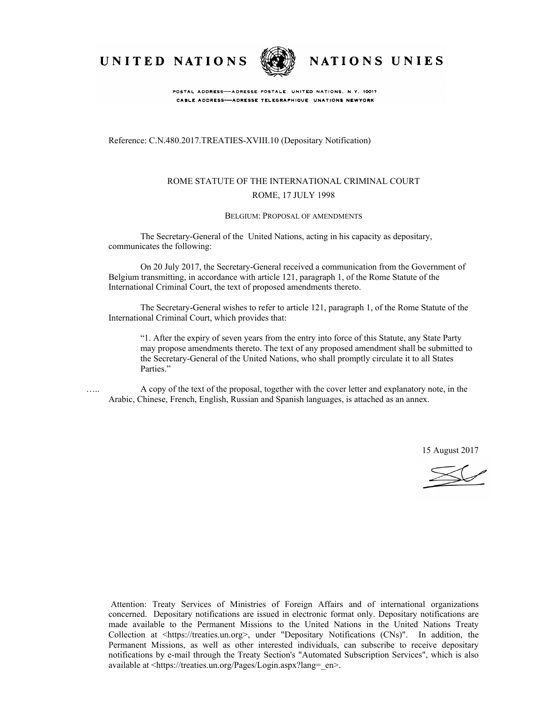UNITED NATIONS



NATIONS UNIES

POSTAL ADDRESS-ADRESSE POSTALE: UNITED NATIONS, N.Y. 10017 CABLE ADDRESS-ADRESSE TELEGRAPHIQUE: UNATIONS NEWYORK

Reference: C.N.480.2017.TREATIES-XVIII.10 (Depositary Notification)

## ROME STATUTE OF THE INTERNATIONAL CRIMINAL COURT ROME, 17 JULY 1998

#### BELGIUM: PROPOSAL OF AMENDMENTS

The Secretary-General of the United Nations, acting in his capacity as depositary, communicates the following:

On 20 July 2017, the Secretary-General received a communication from the Government of Belgium transmitting, in accordance with article 121, paragraph 1, of the Rome Statute of the International Criminal Court, the text of proposed amendments thereto.

The Secretary-General wishes to refer to article 121, paragraph 1, of the Rome Statute of the International Criminal Court, which provides that:

"1. After the expiry of seven years from the entry into force of this Statute, any State Party may propose amendments thereto. The text of any proposed amendment shall be submitted to the Secretary-General of the United Nations, who shall promptly circulate it to all States Parties."

….. A copy of the text of the proposal, together with the cover letter and explanatory note, in the Arabic, Chinese, French, English, Russian and Spanish languages, is attached as an annex.

15 August 2017

Attention: Treaty Services of Ministries of Foreign Affairs and of international organizations concerned. Depositary notifications are issued in electronic format only. Depositary notifications are made available to the Permanent Missions to the United Nations in the United Nations Treaty Collection at <https://treaties.un.org>, under "Depositary Notifications (CNs)". In addition, the Permanent Missions, as well as other interested individuals, can subscribe to receive depositary notifications by e-mail through the Treaty Section's "Automated Subscription Services", which is also available at <https://treaties.un.org/Pages/Login.aspx?lang=\_en>.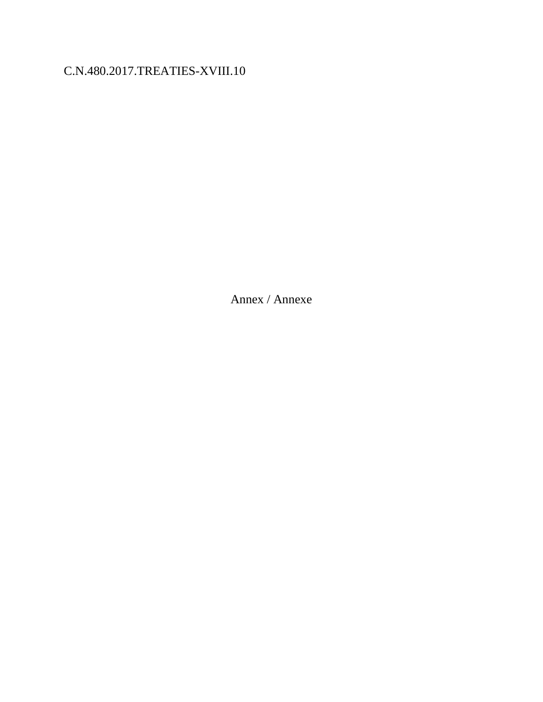# C.N.480.2017.TREATIES-XVIII.10

Annex / Annexe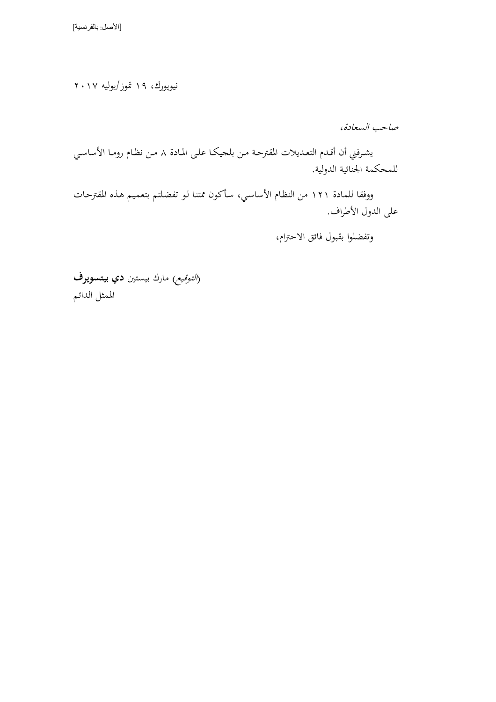نيويورك، 19 متوز/يوليه 2017

صاحب السعادة،

يشرفني أن أقدم التعديلات المقترحة من بلجيكا على المادة ٨ من نظام روما الأساسي للمحكمة الجنائية الدولية.

ووفقا للمادة ١٢١ من النظام الأساسي، سأكون ممتنا لو تفضلتم بتعميم هذه المقترحات على الدول الأطراف.

وتفضلوا بقبول فائق الاحترام،

)الالوميع اارك يسالني ( **دي بيتسويرف** اممثل اللائي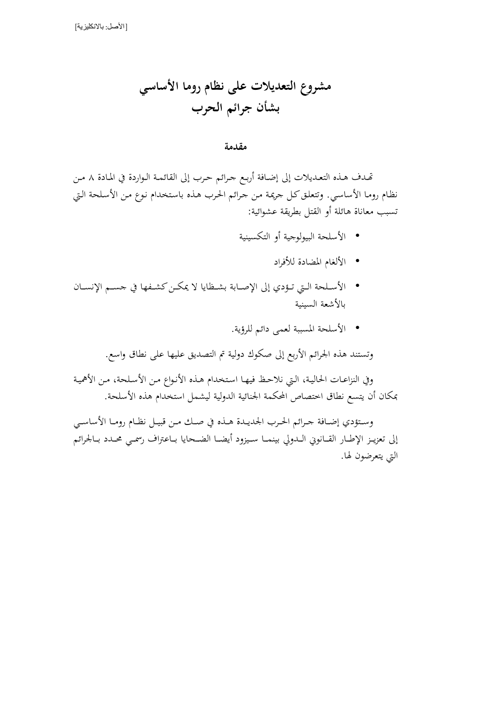**مشروع التعديالت على نظام روما األساسي بشأن جرائم الحرب**

**مقدمة**

تصدف هذه التعديلات إلى إضافة أربع حرائم حرب إلى القائمة الواردة في المادة ٨ من نظام روما الأساسي. وتتعلق كل جريمة من جرائم الحرب هذه باستخدام نوع من الأسلحة التي تسبب معاناة هائلة أو القتل بطريقة عشوائية:

- الأسلحة البيولوجية أو التكسينية
	- الألغام المضادة للأفراد
- الأسلحة التي تـؤدي إلى الإصـابة بشـظايا لا يمكـن كشـفها في جسـم الإنسـان بالأشعة السينية
	- الأسلحة المسببة لعمي دائم للرؤية.

وتستند هذه الجرائم الأربع إلى صكوك دولية تم التصديق عليها على نطاق واسع.

وفي النزاعـات الحاليـة، الـتي نلاحـظ فيهـا استخدام هـذه الأنـواع مـن الأسـلحة، مـن الأهميـة بمكان أن يتسع نطاق اختصاص المحكمة الجنائية الدولية ليشمل استخدام هذه الأسلحة.

وستؤدي إضافة جرائم الحرب الجديدة هـذه في صـك مـن قبيـل نظـام رومـا الأساسـي إلى تعزيـز الإطـار القـانوني الـدولي بينمـا سـيزود أيضـا الضـحايا بـاعتراف رسمـي محـدد بـالجرائم التي يتعرضون لها.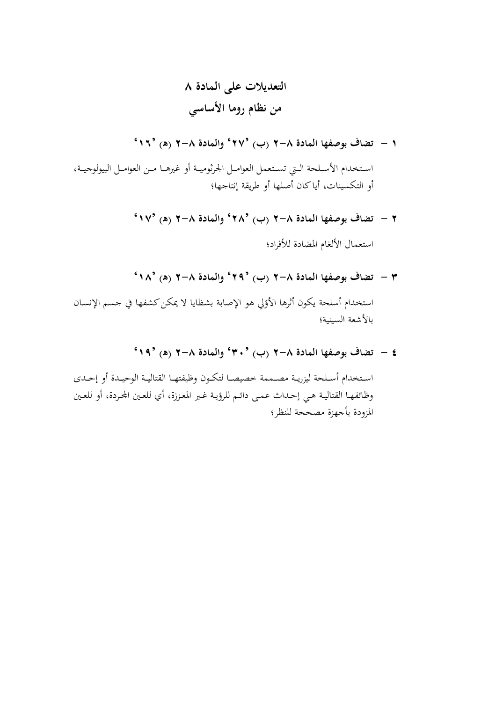**التعديالت على المادة 8 من نظام روما األساسي**

**1 - تضاف بوصفها المادة 2-8 )ب( '27' والمادة 2-8 )ه( '16'**

استخدام الأسـلحة الـتي تسـتعمل العوامـل الجرثوميـة أو غيرهـا مـن العوامـل البيولوجيـة، أو التكسينات، أيا كان أصلها أو طريقة إنتاجها؛

- **2 - المادة تضاف بوصفها 2-8 )ب( '28' والمادة 2-8 )ه( '17'** استعمال الألغام المضادة للأفراد؛
	- **3 - تضاف بوصفها المادة 2-8 )ب( '29' والمادة 2-8 )ه( '18'**

استخدام أسلحة يكون أثرها الأوّلي هو الإصابة بشظايا لا يمكن كشفها في حسم الإنسـان<br>م بالأشعة السينية؛

**4 - تضاف بوصفها المادة 2-8 )ب( '30' والمادة 2-8 )ه( '19'**

استخدام أسلحة ليزرية مصممة خصيصا لتكون وظيفتها القتالية الوحيدة أو إحدى وظائفها القتالية هي إحداث عمى دائم للرؤية غير المعززة، أي للعين المحردة، أو للعين المزودة بأجهزة مصححة للنظر؛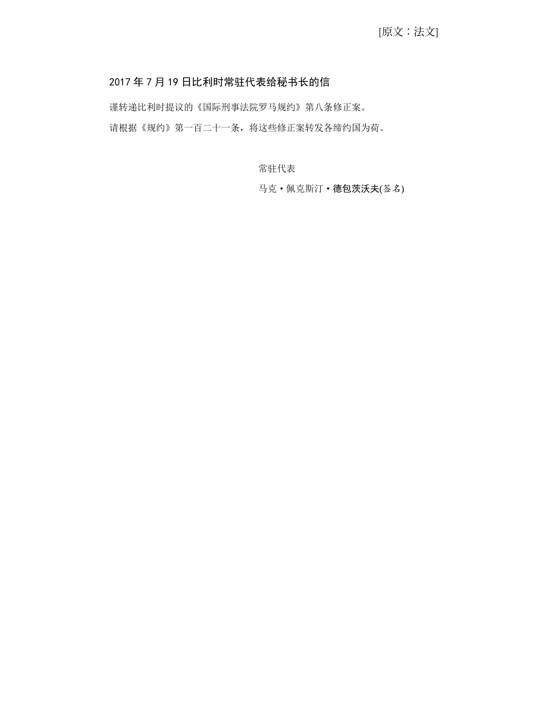## 2017 年 7 月 19 日比利时常驻代表给秘书长的信

谨转递比利时提议的《国际刑事法院罗马规约》第八条修正案。 请根据《规约》第一百二十一条,将这些修正案转发各缔约国为荷。

常驻代表

马克·佩克斯汀·德包茨沃夫(签名)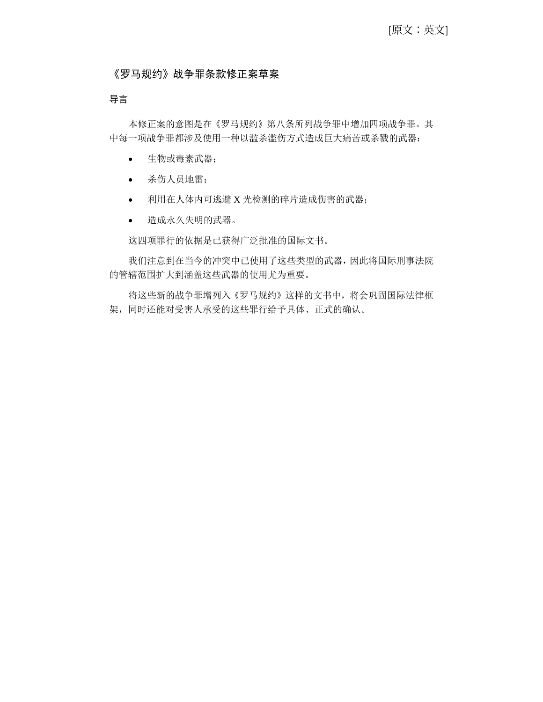## 《罗马规约》战争罪条款修正案草案

## 导言

本修正案的意图是在《罗马规约》第八条所列战争罪中增加四项战争罪。其 中每一项战争罪都涉及使用一种以滥杀滥伤方式造成巨大痛苦或杀戮的武器:

- 生物或毒素武器;
- 杀伤人员地雷;
- 利用在人体内可逃避 X 光检测的碎片造成伤害的武器;
- 造成永久失明的武器。

这四项罪行的依据是已获得广泛批准的国际文书。

我们注意到在当今的冲突中已使用了这些类型的武器,因此将国际刑事法院 的管辖范围扩大到涵盖这些武器的使用尤为重要。

将这些新的战争罪增列入《罗马规约》这样的文书中,将会巩固国际法律框 架,同时还能对受害人承受的这些罪行给予具体、正式的确认。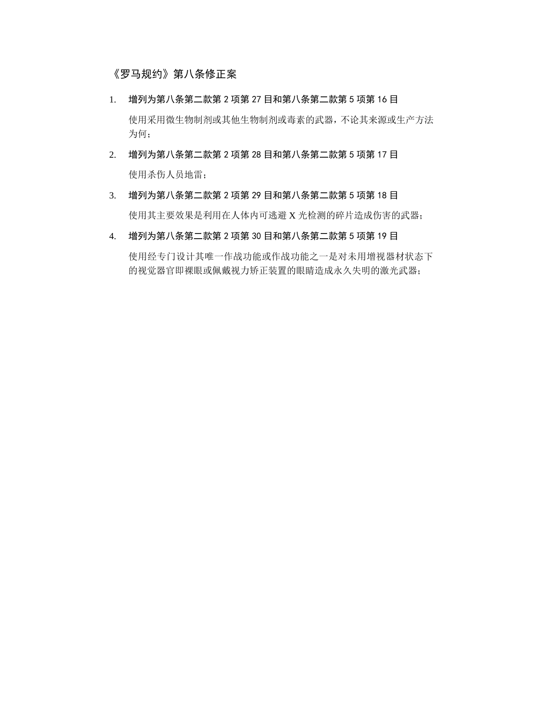## 《罗马规约》第八条修正案

- 1. 增列为第八条第二款第 2 项第 27 目和第八条第二款第 5 项第 16 目 使用采用微生物制剂或其他生物制剂或毒素的武器,不论其来源或生产方法 为何;
- 2. 增列为第八条第二款第 2 项第 28 目和第八条第二款第 5 项第 17 目 使用杀伤人员地雷;
- 3. 增列为第八条第二款第 2 项第 29 目和第八条第二款第 5 项第 18 目 使用其主要效果是利用在人体内可逃避 X 光检测的碎片造成伤害的武器;
- 4. 增列为第八条第二款第 2 项第 30 目和第八条第二款第 5 项第 19 目

使用经专门设计其唯一作战功能或作战功能之一是对未用增视器材状态下 的视觉器官即裸眼或佩戴视力矫正装置的眼睛造成永久失明的激光武器;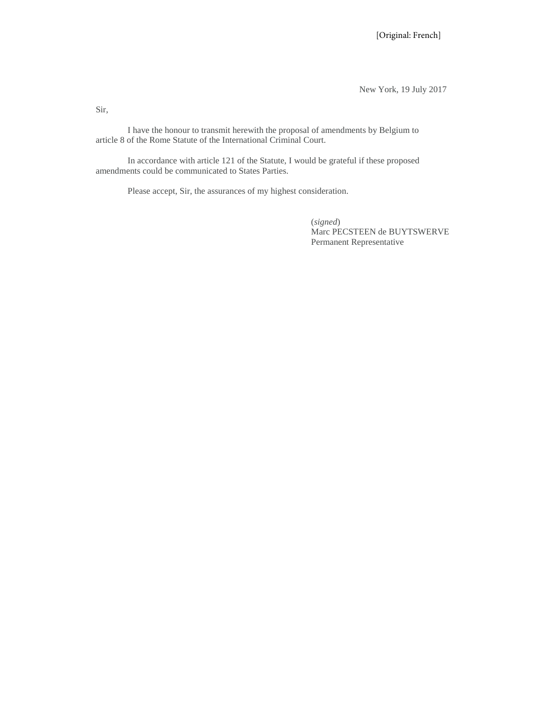New York, 19 July 2017

Sir,

I have the honour to transmit herewith the proposal of amendments by Belgium to article 8 of the Rome Statute of the International Criminal Court.

In accordance with article 121 of the Statute, I would be grateful if these proposed amendments could be communicated to States Parties.

Please accept, Sir, the assurances of my highest consideration.

(*signed*) Marc PECSTEEN de BUYTSWERVE Permanent Representative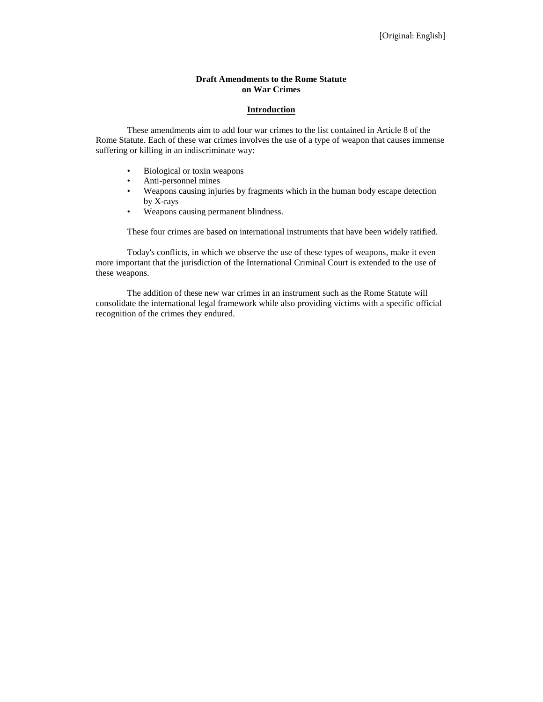#### **Draft Amendments to the Rome Statute on War Crimes**

#### **Introduction**

These amendments aim to add four war crimes to the list contained in Article 8 of the Rome Statute. Each of these war crimes involves the use of a type of weapon that causes immense suffering or killing in an indiscriminate way:

- Biological or toxin weapons
- Anti-personnel mines
- Weapons causing injuries by fragments which in the human body escape detection by X-rays
- Weapons causing permanent blindness.

These four crimes are based on international instruments that have been widely ratified.

Today's conflicts, in which we observe the use of these types of weapons, make it even more important that the jurisdiction of the International Criminal Court is extended to the use of these weapons.

The addition of these new war crimes in an instrument such as the Rome Statute will consolidate the international legal framework while also providing victims with a specific official recognition of the crimes they endured.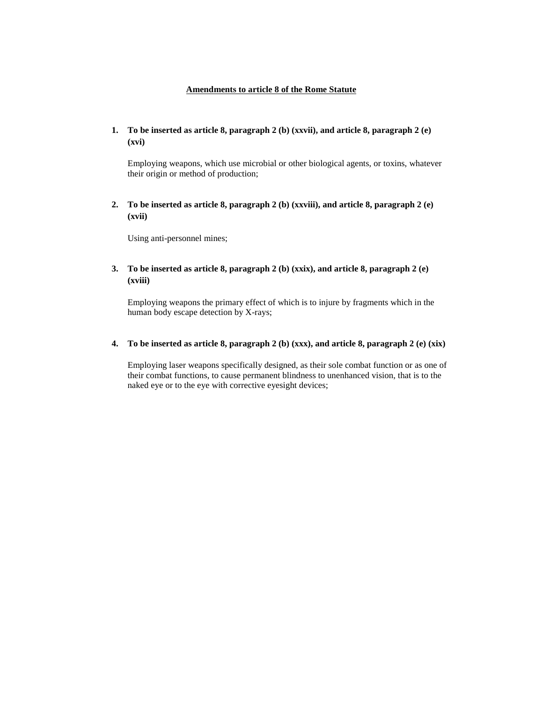### **Amendments to article 8 of the Rome Statute**

**1. To be inserted as article 8, paragraph 2 (b) (xxvii), and article 8, paragraph 2 (e) (xvi)**

Employing weapons, which use microbial or other biological agents, or toxins, whatever their origin or method of production;

**2. To be inserted as article 8, paragraph 2 (b) (xxviii), and article 8, paragraph 2 (e) (xvii)**

Using anti-personnel mines;

**3. To be inserted as article 8, paragraph 2 (b) (xxix), and article 8, paragraph 2 (e) (xviii)**

Employing weapons the primary effect of which is to injure by fragments which in the human body escape detection by X-rays;

**4. To be inserted as article 8, paragraph 2 (b) (xxx), and article 8, paragraph 2 (e) (xix)**

Employing laser weapons specifically designed, as their sole combat function or as one of their combat functions, to cause permanent blindness to unenhanced vision, that is to the naked eye or to the eye with corrective eyesight devices;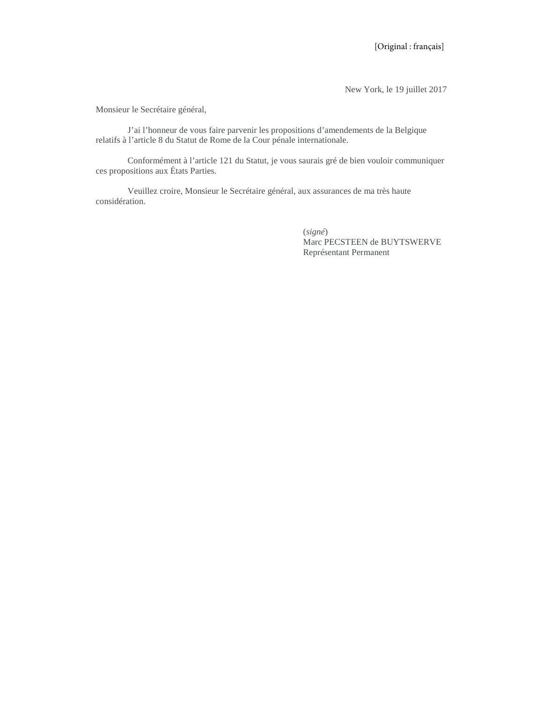New York, le 19 juillet 2017

Monsieur le Secrétaire général,

J'ai l'honneur de vous faire parvenir les propositions d'amendements de la Belgique relatifs à l'article 8 du Statut de Rome de la Cour pénale internationale.

Conformément à l'article 121 du Statut, je vous saurais gré de bien vouloir communiquer ces propositions aux États Parties.

Veuillez croire, Monsieur le Secrétaire général, aux assurances de ma très haute considération.

> (*signé*) Marc PECSTEEN de BUYTSWERVE Représentant Permanent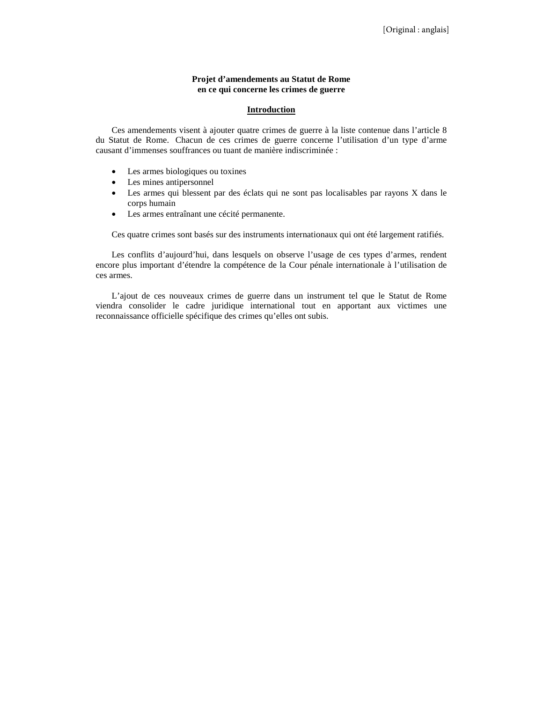#### **Projet d'amendements au Statut de Rome en ce qui concerne les crimes de guerre**

#### **Introduction**

Ces amendements visent à ajouter quatre crimes de guerre à la liste contenue dans l'article 8 du Statut de Rome. Chacun de ces crimes de guerre concerne l'utilisation d'un type d'arme causant d'immenses souffrances ou tuant de manière indiscriminée :

- Les armes biologiques ou toxines
- Les mines antipersonnel
- Les armes qui blessent par des éclats qui ne sont pas localisables par rayons X dans le corps humain
- Les armes entraînant une cécité permanente.

Ces quatre crimes sont basés sur des instruments internationaux qui ont été largement ratifiés.

Les conflits d'aujourd'hui, dans lesquels on observe l'usage de ces types d'armes, rendent encore plus important d'étendre la compétence de la Cour pénale internationale à l'utilisation de ces armes.

L'ajout de ces nouveaux crimes de guerre dans un instrument tel que le Statut de Rome viendra consolider le cadre juridique international tout en apportant aux victimes une reconnaissance officielle spécifique des crimes qu'elles ont subis.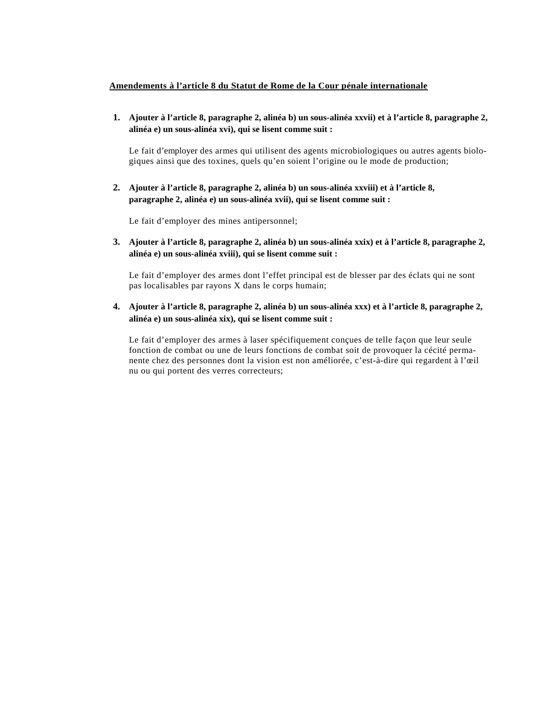## **Amendements à l'article 8 du Statut de Rome de la Cour pénale internationale**

**1. Ajouter à l'article 8, paragraphe 2, alinéa b) un sous-alinéa xxvii) et à l'article 8, paragraphe 2, alinéa e) un sous-alinéa xvi), qui se lisent comme suit :**

Le fait d'employer des armes qui utilisent des agents microbiologiques ou autres agents biologiques ainsi que des toxines, quels qu'en soient l'origine ou le mode de production;

**2. Ajouter à l'article 8, paragraphe 2, alinéa b) un sous-alinéa xxviii) et à l'article 8, paragraphe 2, alinéa e) un sous-alinéa xvii), qui se lisent comme suit :**

Le fait d'employer des mines antipersonnel;

**3. Ajouter à l'article 8, paragraphe 2, alinéa b) un sous-alinéa xxix) et à l'article 8, paragraphe 2, alinéa e) un sous-alinéa xviii), qui se lisent comme suit :**

Le fait d'employer des armes dont l'effet principal est de blesser par des éclats qui ne sont pas localisables par rayons X dans le corps humain;

**4. Ajouter à l'article 8, paragraphe 2, alinéa b) un sous-alinéa xxx) et à l'article 8, paragraphe 2, alinéa e) un sous-alinéa xix), qui se lisent comme suit :**

Le fait d'employer des armes à laser spécifiquement conçues de telle façon que leur seule fonction de combat ou une de leurs fonctions de combat soit de provoquer la cécité permanente chez des personnes dont la vision est non améliorée, c'est-à-dire qui regardent à l'œil nu ou qui portent des verres correcteurs;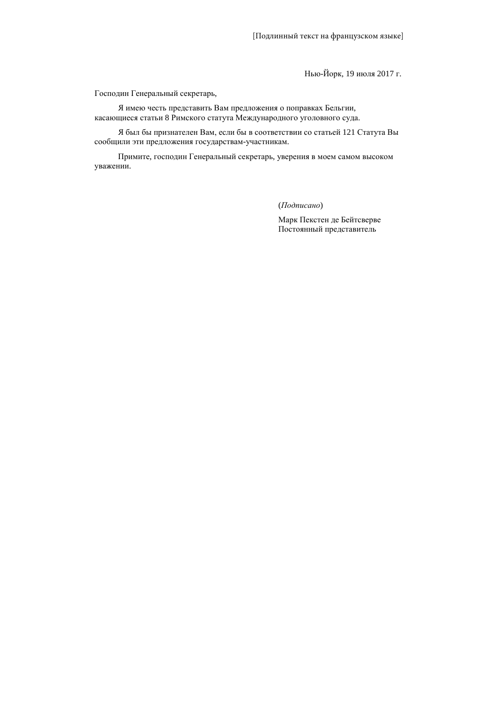Нью-Йорк, 19 июля 2017 г.

Господин Генеральный секретарь,

Я имею честь представить Вам предложения о поправках Бельгии, касающиеся статьи 8 Римского статута Международного уголовного суда.

Я был бы признателен Вам, если бы в соответствии со статьей 121 Статута Вы сообщили эти предложения государствам-участникам.

Примите, господин Генеральный секретарь, уверения в моем самом высоком уважении.

(*Подписано*)

Марк Пекстен де Бейтсверве Постоянный представитель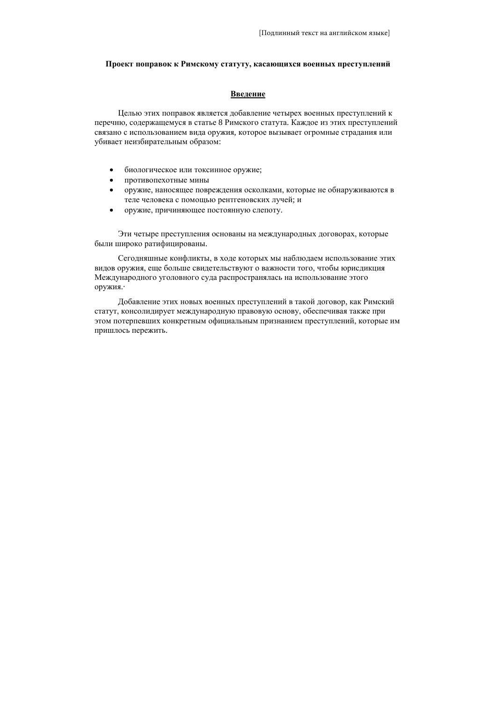#### **Проект поправок к Римскому статуту, касающихся военных преступлений**

#### **Введение**

Целью этих поправок является добавление четырех военных преступлений к перечню, содержащемуся в статье 8 Римского статута. Каждое из этих преступлений связано с использованием вида оружия, которое вызывает огромные страдания или убивает неизбирательным образом:

- биологическое или токсинное оружие;
- противопехотные мины
- оружие, наносящее повреждения осколками, которые не обнаруживаются в теле человека с помощью рентгеновских лучей; и
- оружие, причиняющее постоянную слепоту.

Эти четыре преступления основаны на международных договорах, которые были широко ратифицированы.

Сегодняшные конфликты, в ходе которых мы наблюдаем использование этих видов оружия, еще больше свидетельствуют о важности того, чтобы юрисдикция Международного уголовного суда распространялась на использование этого оружия.·

Добавление этих новых военных преступлений в такой договор, как Римский статут, консолидирует международную правовую основу, обеспечивая также при этом потерпевших конкретным официальным признанием преступлений, которые им пришлось пережить.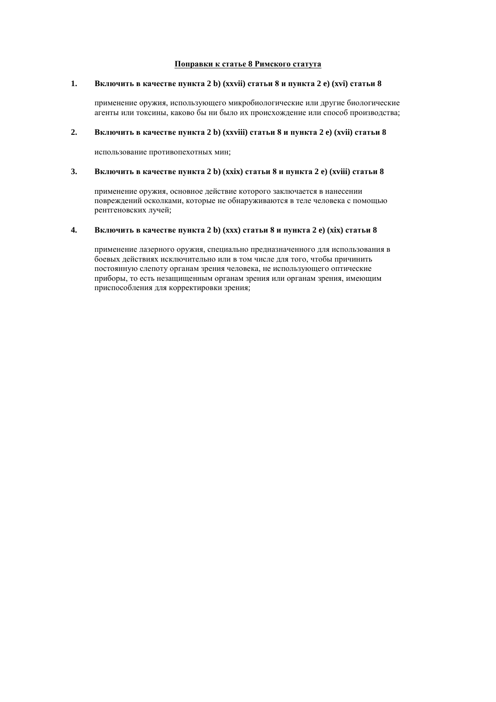#### **Поправки к статье 8 Римского статута**

### **1. Включить в качестве пункта 2 b) (xxvii) статьи 8 и пункта 2 e) (xvi) статьи 8**

применение оружия, использующего микробиологические или другие биологические агенты или токсины, каково бы ни было их происхождение или способ производства;

## **2. Включить в качестве пункта 2 b) (xxviii) статьи 8 и пункта 2 e) (xvii) статьи 8**

использование противопехотных мин;

## **3. Включить в качестве пункта 2 b) (xxix) статьи 8 и пункта 2 e) (xviii) статьи 8**

применение оружия, основное действие которого заключается в нанесении повреждений осколками, которые не обнаруживаются в теле человека с помощью рентгеновских лучей;

#### **4. Включить в качестве пункта 2 b) (xxx) статьи 8 и пункта 2 e) (xix) статьи 8**

применение лазерного оружия, специально предназначенного для использования в боевых действиях исключительно или в том числе для того, чтобы причинить постоянную слепоту органам зрения человека, не использующего оптические приборы, то есть незащищенным органам зрения или органам зрения, имеющим приспособления для корректировки зрения;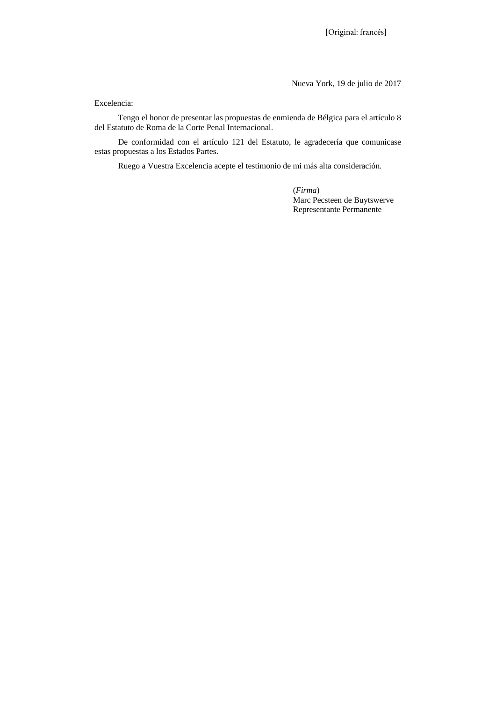Nueva York, 19 de julio de 2017

Excelencia:

Tengo el honor de presentar las propuestas de enmienda de Bélgica para el artículo 8 del Estatuto de Roma de la Corte Penal Internacional.

De conformidad con el artículo 121 del Estatuto, le agradecería que comunicase estas propuestas a los Estados Partes.

Ruego a Vuestra Excelencia acepte el testimonio de mi más alta consideración.

(*Firma*) Marc Pecsteen de Buytswerve Representante Permanente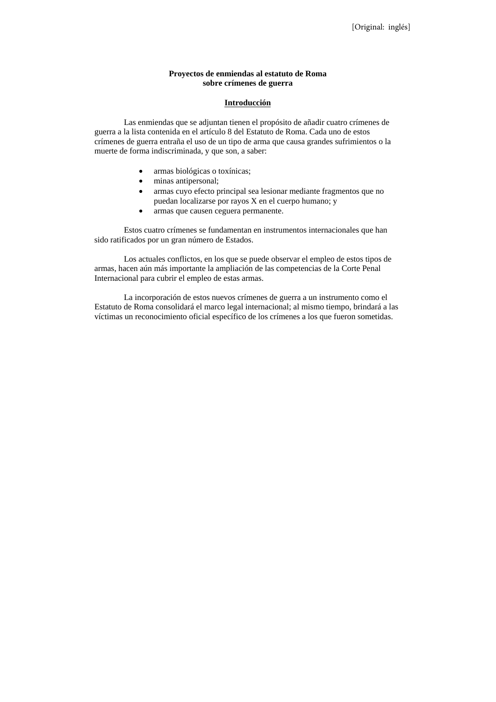### **Proyectos de enmiendas al estatuto de Roma sobre crímenes de guerra**

#### **Introducción**

Las enmiendas que se adjuntan tienen el propósito de añadir cuatro crímenes de guerra a la lista contenida en el artículo 8 del Estatuto de Roma. Cada uno de estos crímenes de guerra entraña el uso de un tipo de arma que causa grandes sufrimientos o la muerte de forma indiscriminada, y que son, a saber:

- armas biológicas o toxínicas;
- minas antipersonal;
- armas cuyo efecto principal sea lesionar mediante fragmentos que no puedan localizarse por rayos X en el cuerpo humano; y
- armas que causen ceguera permanente.

Estos cuatro crímenes se fundamentan en instrumentos internacionales que han sido ratificados por un gran número de Estados.

Los actuales conflictos, en los que se puede observar el empleo de estos tipos de armas, hacen aún más importante la ampliación de las competencias de la Corte Penal Internacional para cubrir el empleo de estas armas.

La incorporación de estos nuevos crímenes de guerra a un instrumento como el Estatuto de Roma consolidará el marco legal internacional; al mismo tiempo, brindará a las víctimas un reconocimiento oficial específico de los crímenes a los que fueron sometidas.